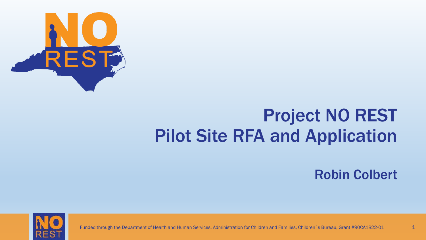

### Project NO REST Pilot Site RFA and Application

Robin Colbert



Funded through the Department of Health and Human Services, Administration for Children and Families, Children's Bureau, Grant #90CA1822-01 1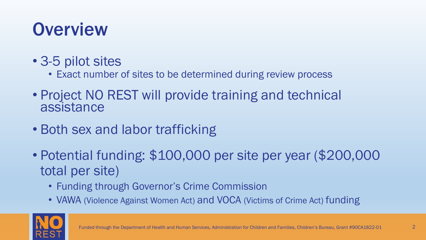### **Overview**

- 3-5 pilot sites
	- Exact number of sites to be determined during review process
- Project NO REST will provide training and technical assistance
- Both sex and labor trafficking
- Potential funding: \$100,000 per site per year (\$200,000 total per site)
	- Funding through Governor's Crime Commission
	- VAWA (Violence Against Women Act) and VOCA (Victims of Crime Act) funding

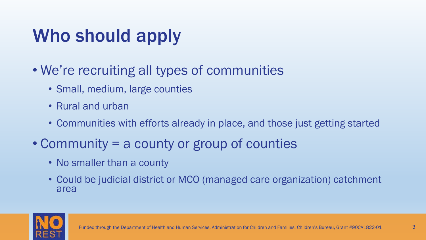### Who should apply

- We're recruiting all types of communities
	- Small, medium, large counties
	- Rural and urban
	- Communities with efforts already in place, and those just getting started
- Community = a county or group of counties
	- No smaller than a county
	- Could be judicial district or MCO (managed care organization) catchment area

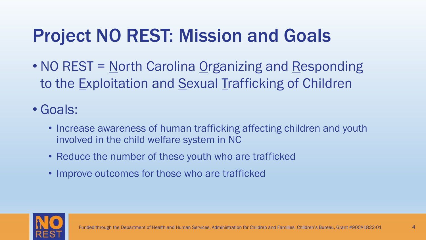### Project NO REST: Mission and Goals

• NO REST = North Carolina Organizing and Responding to the Exploitation and Sexual Trafficking of Children

### • Goals:

- Increase awareness of human trafficking affecting children and youth involved in the child welfare system in NC
- Reduce the number of these youth who are trafficked
- Improve outcomes for those who are trafficked

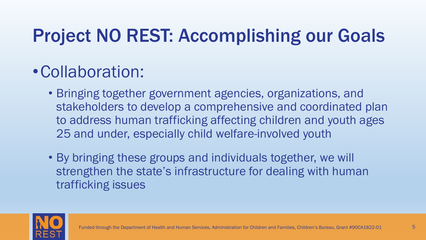### Project NO REST: Accomplishing our Goals

### •Collaboration:

- Bringing together government agencies, organizations, and stakeholders to develop a comprehensive and coordinated plan to address human trafficking affecting children and youth ages 25 and under, especially child welfare-involved youth
- By bringing these groups and individuals together, we will strengthen the state's infrastructure for dealing with human trafficking issues

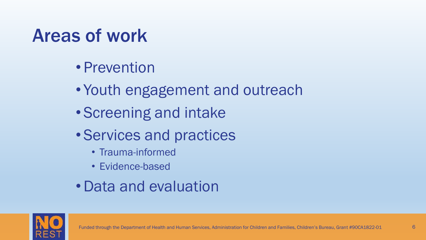### Areas of work

- Prevention
- Youth engagement and outreach
- Screening and intake
- Services and practices
	- Trauma-informed
	- Evidence-based
- •Data and evaluation

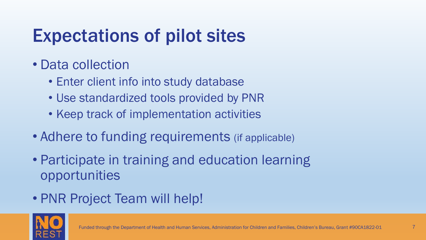### Expectations of pilot sites

- Data collection
	- Enter client info into study database
	- Use standardized tools provided by PNR
	- Keep track of implementation activities
- Adhere to funding requirements (if applicable)
- Participate in training and education learning opportunities
- PNR Project Team will help!

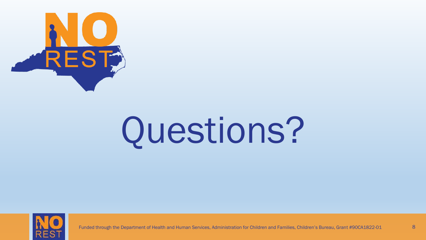

# Questions?



Funded through the Department of Health and Human Services, Administration for Children and Families, Children's Bureau, Grant #90CA1822-01 8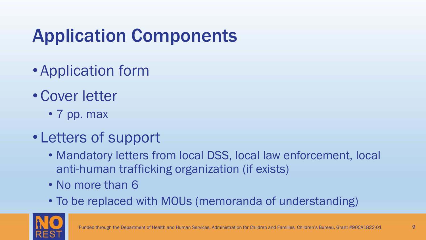## Application Components

- Application form
- Cover letter
	- 7 pp. max
- Letters of support
	- Mandatory letters from local DSS, local law enforcement, local anti-human trafficking organization (if exists)
	- No more than 6
	- To be replaced with MOUs (memoranda of understanding)

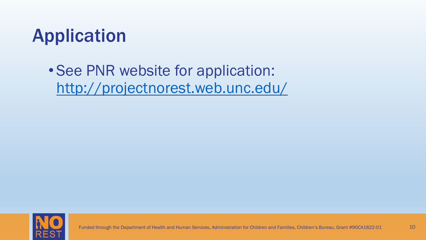

• See PNR website for application: <http://projectnorest.web.unc.edu/>

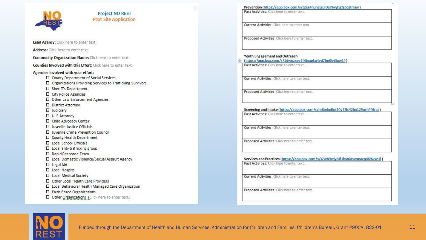|                                                                                                       | Prevention (https://app.box.com/s/t2ez4hun8jg0ic6sf6vyfjgfgbqztmsw)                                                        |
|-------------------------------------------------------------------------------------------------------|----------------------------------------------------------------------------------------------------------------------------|
| <b>Project NO REST</b><br><b>Pilot Site Application</b>                                               | Past Activities: Click here to enter text.                                                                                 |
|                                                                                                       | Current Activities: Click here to enter text.                                                                              |
| Lead Agency: Click here to enter text.                                                                | Proposed Activities: Click here to enter text.                                                                             |
| Address: Click here to enter text.                                                                    |                                                                                                                            |
| <b>Community Organization Name:</b> Click here to enter text.                                         | Youth Engagement and Outreach<br>+ (https://app.box.com/s/1dwqzxya3lk5qxpku4vd7fm0ivt5xw24)                                |
| Counties Involved with this Effort: Click here to enter text.                                         | Past Activities: Click here to enter text.                                                                                 |
| Agencies Involved with your effort:                                                                   |                                                                                                                            |
| □ County Department of Social Services<br>□ Organizations Providing Services to Trafficking Survivors | Current Activities: Click here to enter text.                                                                              |
| □ Sheriff's Department                                                                                |                                                                                                                            |
| □ City Police Agencies                                                                                | Proposed Activities: Click here to enter text.                                                                             |
| □ Other Law Enforcement Agencies                                                                      |                                                                                                                            |
| D District Attorney                                                                                   |                                                                                                                            |
| $\Box$ Judiciary                                                                                      | Screening and Intake (https://app.box.com/s/m8odudfpt30y73ic42bu125qch446rot)<br>Past Activities: Oick here to enter text. |
| □ U.S Attorney                                                                                        |                                                                                                                            |
| Child Advocacy Center                                                                                 |                                                                                                                            |
| □ Juvenile Justice Officials                                                                          | Current Activities: Click here to enter text.                                                                              |
| □ Juvenile Crime Prevention Council                                                                   |                                                                                                                            |
| □ County Health Department                                                                            |                                                                                                                            |
| □ Local School Officials                                                                              | Proposed Activities: Click here to enter text.                                                                             |
| □ Local anti-trafficking group                                                                        |                                                                                                                            |
| □ Rapid Response Team                                                                                 |                                                                                                                            |
| □ Local Domestic Violence/Sexual Assault Agency                                                       | Services and Practices (https://app.box.com/s/s7wh9xdy83i1iwr6dswznacq469wxe1i)                                            |
| D Legal Aid                                                                                           | Past Activities: Click here to enter text.                                                                                 |
| <b>D</b> Local Hospital                                                                               |                                                                                                                            |
| <b>D</b> Local Medical Society                                                                        | Current Activities: Click here to enter text.                                                                              |
| Other Local Health Care Providers                                                                     |                                                                                                                            |
| □ Local Behavioral Health Managed Care Organization                                                   |                                                                                                                            |
| □ Faith Based Organizations                                                                           | Proposed Activities: Click here to enter text.                                                                             |
| □ Other Organizations (Click here to enter text.)                                                     |                                                                                                                            |
|                                                                                                       |                                                                                                                            |

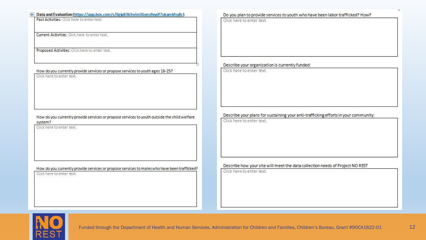#### <sup>+</sup> Data and Evaluation (https://app.box.com/s/0gip83b3wim36oeu9xydf7ukamkfsy8z)

Past Activities: Click here to enter text.

Current Activities: Click here to enter text.

Proposed Activities: Click here to enter text.

#### How do you currently provide services or propose services to youth ages 18-25?

Click here to enter text.

#### How do you currently provide services or propose services to youth outside the child welfare system?

Click here to enter text.

#### How do you currently provide services or propose services to males who have been trafficked?

Click here to enter text.

#### Do you plan to provide services to youth who have been labor trafficked? How?

Click here to enter text.

#### Describe your organization is currently funded:

Click here to enter text.

#### Describe your plans for sustaining your anti-trafficking efforts in your community:

Click here to enter text.

#### Describe how your site will meet the data collection needs of Project NO REST

Click here to enter text.

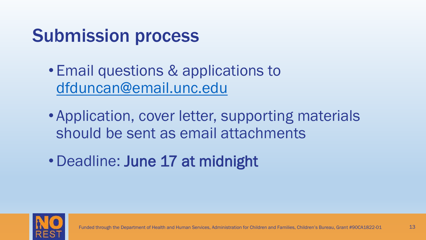### Submission process

- Email questions & applications to [dfduncan@email.unc.edu](mailto:dfduncan@email.unc.edu)
- Application, cover letter, supporting materials should be sent as email attachments
- •Deadline: June 17 at midnight

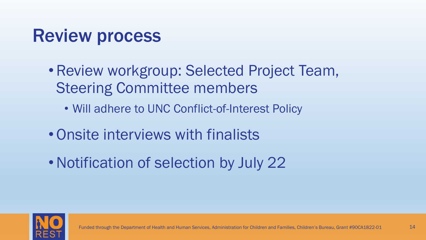### Review process

- •Review workgroup: Selected Project Team, Steering Committee members
	- Will adhere to UNC Conflict-of-Interest Policy
- •Onsite interviews with finalists
- Notification of selection by July 22